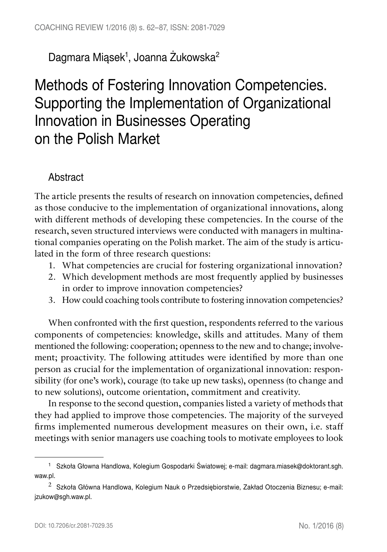## Dagmara Miąsek<sup>1</sup>, Joanna Zukowska<sup>2</sup>

# Methods of Fostering Innovation Competencies. Supporting the Implementation of Organizational Innovation in Businesses Operating on the Polish Market

### Abstract

The article presents the results of research on innovation competencies, defined as those conducive to the implementation of organizational innovations, along with different methods of developing these competencies. In the course of the research, seven structured interviews were conducted with managers in multinational companies operating on the Polish market. The aim of the study is articulated in the form of three research questions:

- 1. What competencies are crucial for fostering organizational innovation?
- 2. Which development methods are most frequently applied by businesses in order to improve innovation competencies?
- 3. How could coaching tools contribute to fostering innovation competencies?

When confronted with the first question, respondents referred to the various components of competencies: knowledge, skills and attitudes. Many of them mentioned the following: cooperation; openness to the new and to change; involvement; proactivity. The following attitudes were identified by more than one person as crucial for the implementation of organizational innovation: responsibility (for one's work), courage (to take up new tasks), openness (to change and to new solutions), outcome orientation, commitment and creativity.

In response to the second question, companies listed a variety of methods that they had applied to improve those competencies. The majority of the surveyed firms implemented numerous development measures on their own, i.e. staff meetings with senior managers use coaching tools to motivate employees to look

<sup>1</sup> Szkoła Głowna Handlowa, Kolegium Gospodarki Światowej; e-mail: dagmara.miasek@doktorant.sgh. waw.pl.

 $2$  Szkoła Główna Handlowa, Kolegium Nauk o Przedsiębiorstwie, Zakład Otoczenia Biznesu; e-mail: jzukow@sgh.waw.pl.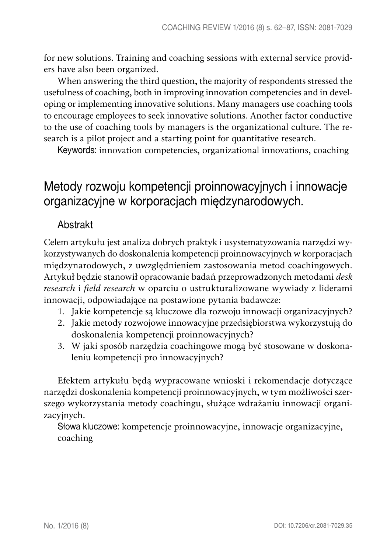for new solutions. Training and coaching sessions with external service providers have also been organized.

When answering the third question, the majority of respondents stressed the usefulness of coaching, both in improving innovation competencies and in developing or implementing innovative solutions. Many managers use coaching tools to encourage employees to seek innovative solutions. Another factor conductive to the use of coaching tools by managers is the organizational culture. The research is a pilot project and a starting point for quantitative research.

Keywords: innovation competencies, organizational innovations, coaching

# Metody rozwoju kompetencji proinnowacyjnych i innowacje organizacyjne w korporacjach międzynarodowych.

### Abstrakt

Celem artykułu jest analiza dobrych praktyk i usystematyzowania narzędzi wykorzystywanych do doskonalenia kompetencji proinnowacyjnych w korporacjach międzynarodowych, z uwzględnieniem zastosowania metod coachingowych. Artykuł będzie stanowił opracowanie badań przeprowadzonych metodami *desk research* i *field research* w oparciu o ustrukturalizowane wywiady z liderami innowacji, odpowiadające na postawione pytania badawcze:

- 1. Jakie kompetencje są kluczowe dla rozwoju innowacji organizacyjnych?
- 2. Jakie metody rozwojowe innowacyjne przedsiębiorstwa wykorzystują do doskonalenia kompetencji proinnowacyjnych?
- 3. W jaki sposób narzędzia coachingowe mogą być stosowane w doskonaleniu kompetencji pro innowacyjnych?

Efektem artykułu będą wypracowane wnioski i rekomendacje dotyczące narzędzi doskonalenia kompetencji proinnowacyjnych, w tym możliwości szerszego wykorzystania metody coachingu, służące wdrażaniu innowacji organizacyjnych.

Słowa kluczowe: kompetencje proinnowacyjne, innowacje organizacyjne, coaching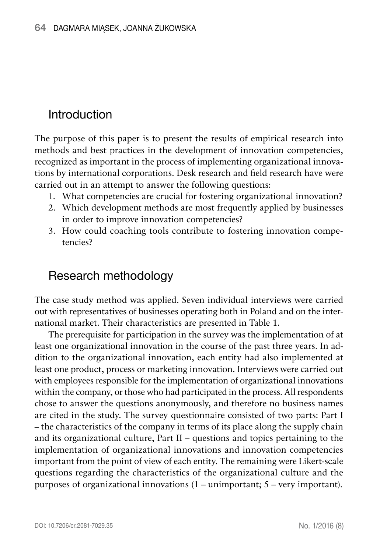## Introduction

The purpose of this paper is to present the results of empirical research into methods and best practices in the development of innovation competencies, recognized as important in the process of implementing organizational innovations by international corporations. Desk research and field research have were carried out in an attempt to answer the following questions:

- 1. What competencies are crucial for fostering organizational innovation?
- 2. Which development methods are most frequently applied by businesses in order to improve innovation competencies?
- 3. How could coaching tools contribute to fostering innovation competencies?

### Research methodology

The case study method was applied. Seven individual interviews were carried out with representatives of businesses operating both in Poland and on the international market. Their characteristics are presented in Table 1.

The prerequisite for participation in the survey was the implementation of at least one organizational innovation in the course of the past three years. In addition to the organizational innovation, each entity had also implemented at least one product, process or marketing innovation. Interviews were carried out with employees responsible for the implementation of organizational innovations within the company, or those who had participated in the process. All respondents chose to answer the questions anonymously, and therefore no business names are cited in the study. The survey questionnaire consisted of two parts: Part I – the characteristics of the company in terms of its place along the supply chain and its organizational culture, Part II – questions and topics pertaining to the implementation of organizational innovations and innovation competencies important from the point of view of each entity. The remaining were Likert-scale questions regarding the characteristics of the organizational culture and the purposes of organizational innovations (1 – unimportant; 5 – very important).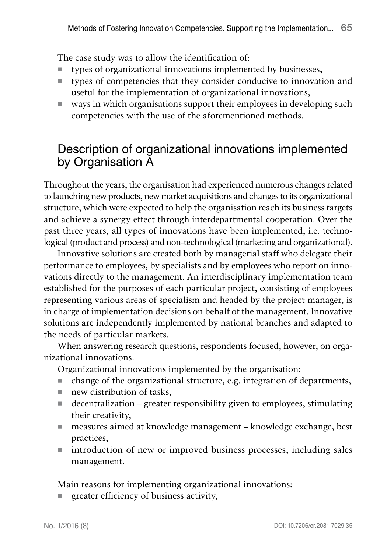The case study was to allow the identification of:

- types of organizational innovations implemented by businesses,
- types of competencies that they consider conducive to innovation and useful for the implementation of organizational innovations,
- ways in which organisations support their employees in developing such competencies with the use of the aforementioned methods.

### Description of organizational innovations implemented by Organisation A

Throughout the years, the organisation had experienced numerous changes related to launching new products, new market acquisitions and changes to its organizational structure, which were expected to help the organisation reach its business targets and achieve a synergy effect through interdepartmental cooperation. Over the past three years, all types of innovations have been implemented, i.e. technological (product and process) and non-technological (marketing and organizational).

Innovative solutions are created both by managerial staff who delegate their performance to employees, by specialists and by employees who report on innovations directly to the management. An interdisciplinary implementation team established for the purposes of each particular project, consisting of employees representing various areas of specialism and headed by the project manager, is in charge of implementation decisions on behalf of the management. Innovative solutions are independently implemented by national branches and adapted to the needs of particular markets.

When answering research questions, respondents focused, however, on organizational innovations.

Organizational innovations implemented by the organisation:

- change of the organizational structure, e.g. integration of departments,
- new distribution of tasks,
- $\blacksquare$  decentralization greater responsibility given to employees, stimulating their creativity,
- measures aimed at knowledge management knowledge exchange, best practices,
- introduction of new or improved business processes, including sales management.

Main reasons for implementing organizational innovations:

greater efficiency of business activity,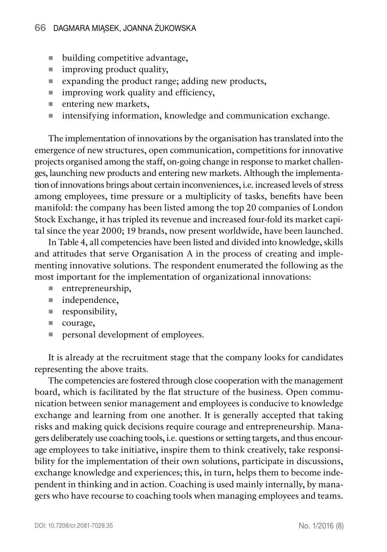- building competitive advantage,
- $\blacksquare$  improving product quality,
- Expanding the product range; adding new products,
- $\blacksquare$  improving work quality and efficiency,
- $\blacksquare$  entering new markets,
- $\blacksquare$  intensifying information, knowledge and communication exchange.

The implementation of innovations by the organisation has translated into the emergence of new structures, open communication, competitions for innovative projects organised among the staff, on-going change in response to market challenges, launching new products and entering new markets. Although the implementation of innovations brings about certain inconveniences, i.e. increased levels of stress among employees, time pressure or a multiplicity of tasks, benefits have been manifold: the company has been listed among the top 20 companies of London Stock Exchange, it has tripled its revenue and increased four-fold its market capital since the year 2000; 19 brands, now present worldwide, have been launched.

In Table 4, all competencies have been listed and divided into knowledge, skills and attitudes that serve Organisation A in the process of creating and implementing innovative solutions. The respondent enumerated the following as the most important for the implementation of organizational innovations:

- entrepreneurship,
- independence,
- **responsibility**,
- courage,
- **personal development of employees.**

It is already at the recruitment stage that the company looks for candidates representing the above traits.

The competencies are fostered through close cooperation with the management board, which is facilitated by the flat structure of the business. Open communication between senior management and employees is conducive to knowledge exchange and learning from one another. It is generally accepted that taking risks and making quick decisions require courage and entrepreneurship. Managers deliberately use coaching tools, i.e. questions or setting targets, and thus encourage employees to take initiative, inspire them to think creatively, take responsibility for the implementation of their own solutions, participate in discussions, exchange knowledge and experiences; this, in turn, helps them to become independent in thinking and in action. Coaching is used mainly internally, by managers who have recourse to coaching tools when managing employees and teams.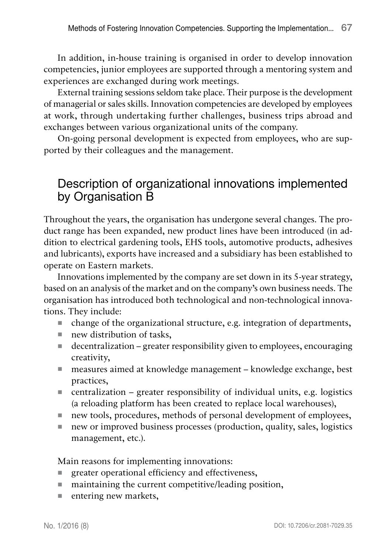In addition, in-house training is organised in order to develop innovation competencies, junior employees are supported through a mentoring system and experiences are exchanged during work meetings.

External training sessions seldom take place. Their purpose is the development of managerial or sales skills. Innovation competencies are developed by employees at work, through undertaking further challenges, business trips abroad and exchanges between various organizational units of the company.

On-going personal development is expected from employees, who are supported by their colleagues and the management.

### Description of organizational innovations implemented by Organisation B

Throughout the years, the organisation has undergone several changes. The product range has been expanded, new product lines have been introduced (in addition to electrical gardening tools, EHS tools, automotive products, adhesives and lubricants), exports have increased and a subsidiary has been established to operate on Eastern markets.

Innovations implemented by the company are set down in its 5-year strategy, based on an analysis of the market and on the company's own business needs. The organisation has introduced both technological and non-technological innovations. They include:

- $\blacksquare$  change of the organizational structure, e.g. integration of departments,
- new distribution of tasks,
- $\blacksquare$  decentralization greater responsibility given to employees, encouraging creativity,
- measures aimed at knowledge management knowledge exchange, best practices,
- centralization greater responsibility of individual units, e.g. logistics (a reloading platform has been created to replace local warehouses),
- new tools, procedures, methods of personal development of employees,
- new or improved business processes (production, quality, sales, logistics management, etc.).

Main reasons for implementing innovations:

- greater operational efficiency and effectiveness,
- maintaining the current competitive/leading position,
- $\blacksquare$  entering new markets,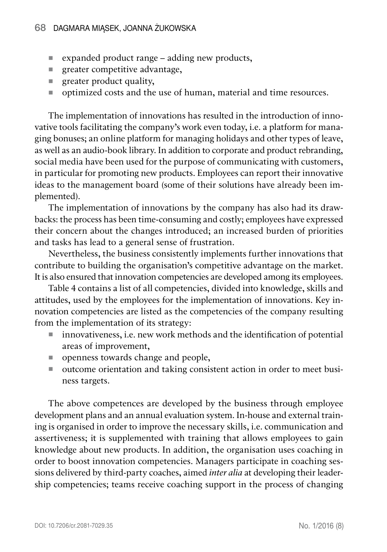- expanded product range adding new products,
- **greater competitive advantage,**
- $\blacksquare$  greater product quality,
- optimized costs and the use of human, material and time resources.

The implementation of innovations has resulted in the introduction of innovative tools facilitating the company's work even today, i.e. a platform for managing bonuses; an online platform for managing holidays and other types of leave, as well as an audio-book library. In addition to corporate and product rebranding, social media have been used for the purpose of communicating with customers, in particular for promoting new products. Employees can report their innovative ideas to the management board (some of their solutions have already been implemented).

The implementation of innovations by the company has also had its drawbacks: the process has been time-consuming and costly; employees have expressed their concern about the changes introduced; an increased burden of priorities and tasks has lead to a general sense of frustration.

Nevertheless, the business consistently implements further innovations that contribute to building the organisation's competitive advantage on the market. It is also ensured that innovation competencies are developed among its employees.

Table 4 contains a list of all competencies, divided into knowledge, skills and attitudes, used by the employees for the implementation of innovations. Key innovation competencies are listed as the competencies of the company resulting from the implementation of its strategy:

- innovativeness, i.e. new work methods and the identification of potential areas of improvement,
- openness towards change and people,
- outcome orientation and taking consistent action in order to meet business targets.

The above competences are developed by the business through employee development plans and an annual evaluation system. In-house and external training is organised in order to improve the necessary skills, i.e. communication and assertiveness; it is supplemented with training that allows employees to gain knowledge about new products. In addition, the organisation uses coaching in order to boost innovation competencies. Managers participate in coaching sessions delivered by third-party coaches, aimed *inter alia* at developing their leadership competencies; teams receive coaching support in the process of changing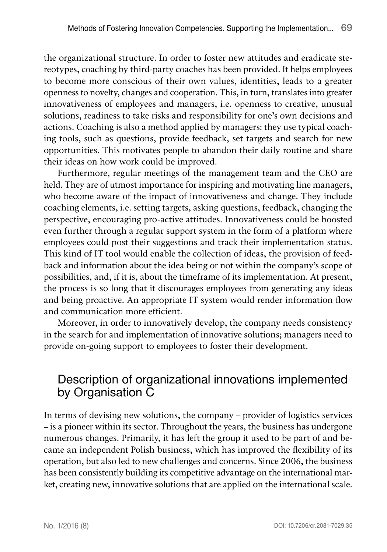the organizational structure. In order to foster new attitudes and eradicate stereotypes, coaching by third-party coaches has been provided. It helps employees to become more conscious of their own values, identities, leads to a greater openness to novelty, changes and cooperation. This, in turn, translates into greater innovativeness of employees and managers, i.e. openness to creative, unusual solutions, readiness to take risks and responsibility for one's own decisions and actions. Coaching is also a method applied by managers: they use typical coaching tools, such as questions, provide feedback, set targets and search for new opportunities. This motivates people to abandon their daily routine and share their ideas on how work could be improved.

Furthermore, regular meetings of the management team and the CEO are held. They are of utmost importance for inspiring and motivating line managers, who become aware of the impact of innovativeness and change. They include coaching elements, i.e. setting targets, asking questions, feedback, changing the perspective, encouraging pro-active attitudes. Innovativeness could be boosted even further through a regular support system in the form of a platform where employees could post their suggestions and track their implementation status. This kind of IT tool would enable the collection of ideas, the provision of feedback and information about the idea being or not within the company's scope of possibilities, and, if it is, about the timeframe of its implementation. At present, the process is so long that it discourages employees from generating any ideas and being proactive. An appropriate IT system would render information flow and communication more efficient.

Moreover, in order to innovatively develop, the company needs consistency in the search for and implementation of innovative solutions; managers need to provide on-going support to employees to foster their development.

### Description of organizational innovations implemented by Organisation C

In terms of devising new solutions, the company – provider of logistics services – is a pioneer within its sector. Throughout the years, the business has undergone numerous changes. Primarily, it has left the group it used to be part of and became an independent Polish business, which has improved the flexibility of its operation, but also led to new challenges and concerns. Since 2006, the business has been consistently building its competitive advantage on the international market, creating new, innovative solutions that are applied on the international scale.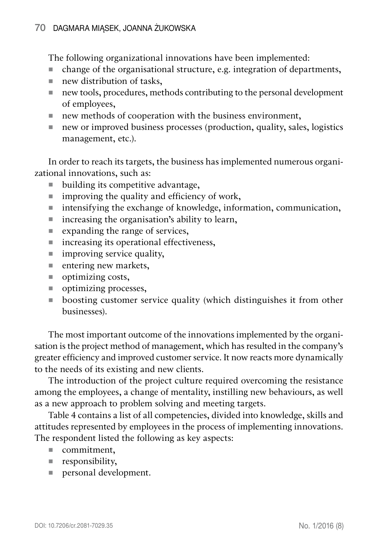#### 70 Dagmara Miąsek, Joanna Żukowska

The following organizational innovations have been implemented:

- change of the organisational structure, e.g. integration of departments,
- new distribution of tasks,
- new tools, procedures, methods contributing to the personal development of employees,
- new methods of cooperation with the business environment,
- new or improved business processes (production, quality, sales, logistics management, etc.).

In order to reach its targets, the business has implemented numerous organizational innovations, such as:

- building its competitive advantage,
- $\blacksquare$  improving the quality and efficiency of work,
- $\blacksquare$  intensifying the exchange of knowledge, information, communication,
- $\blacksquare$  increasing the organisation's ability to learn,
- $\blacksquare$  expanding the range of services,
- $\blacksquare$  increasing its operational effectiveness,
- $\blacksquare$  improving service quality.
- $\blacksquare$  entering new markets,
- $\blacksquare$  optimizing costs,
- optimizing processes,
- boosting customer service quality (which distinguishes it from other businesses).

The most important outcome of the innovations implemented by the organisation is the project method of management, which has resulted in the company's greater efficiency and improved customer service. It now reacts more dynamically to the needs of its existing and new clients.

The introduction of the project culture required overcoming the resistance among the employees, a change of mentality, instilling new behaviours, as well as a new approach to problem solving and meeting targets.

Table 4 contains a list of all competencies, divided into knowledge, skills and attitudes represented by employees in the process of implementing innovations. The respondent listed the following as key aspects:

- commitment,
- **responsibility**,
- **personal development.**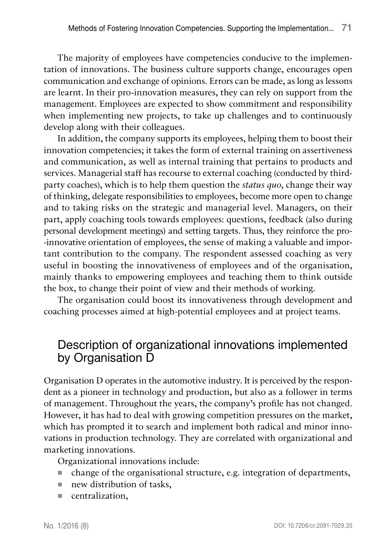The majority of employees have competencies conducive to the implementation of innovations. The business culture supports change, encourages open communication and exchange of opinions. Errors can be made, as long as lessons are learnt. In their pro-innovation measures, they can rely on support from the management. Employees are expected to show commitment and responsibility when implementing new projects, to take up challenges and to continuously develop along with their colleagues.

In addition, the company supports its employees, helping them to boost their innovation competencies; it takes the form of external training on assertiveness and communication, as well as internal training that pertains to products and services. Managerial staff has recourse to external coaching (conducted by thirdparty coaches), which is to help them question the *status quo*, change their way of thinking, delegate responsibilities to employees, become more open to change and to taking risks on the strategic and managerial level. Managers, on their part, apply coaching tools towards employees: questions, feedback (also during personal development meetings) and setting targets. Thus, they reinforce the proinnovative orientation of employees, the sense of making a valuable and important contribution to the company. The respondent assessed coaching as very useful in boosting the innovativeness of employees and of the organisation, mainly thanks to empowering employees and teaching them to think outside the box, to change their point of view and their methods of working.

The organisation could boost its innovativeness through development and coaching processes aimed at high-potential employees and at project teams.

### Description of organizational innovations implemented by Organisation D

Organisation D operates in the automotive industry. It is perceived by the respondent as a pioneer in technology and production, but also as a follower in terms of management. Throughout the years, the company's profile has not changed. However, it has had to deal with growing competition pressures on the market, which has prompted it to search and implement both radical and minor innovations in production technology. They are correlated with organizational and marketing innovations.

Organizational innovations include:

- change of the organisational structure, e.g. integration of departments,
- new distribution of tasks,
- **centralization,**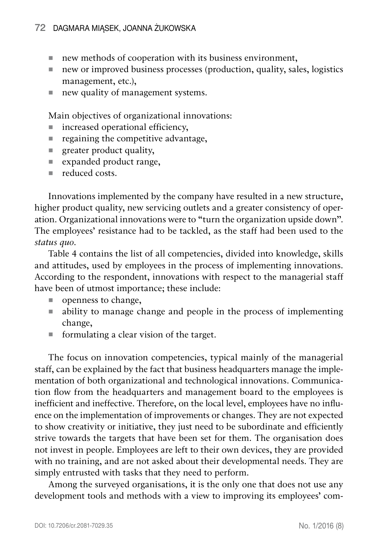- new methods of cooperation with its business environment,
- new or improved business processes (production, quality, sales, logistics management, etc.),
- new quality of management systems.

Main objectives of organizational innovations:

- increased operational efficiency,
- regaining the competitive advantage,
- $\blacksquare$  greater product quality,
- expanded product range,
- reduced costs.

Innovations implemented by the company have resulted in a new structure, higher product quality, new servicing outlets and a greater consistency of operation. Organizational innovations were to "turn the organization upside down". The employees' resistance had to be tackled, as the staff had been used to the *status quo*.

Table 4 contains the list of all competencies, divided into knowledge, skills and attitudes, used by employees in the process of implementing innovations. According to the respondent, innovations with respect to the managerial staff have been of utmost importance; these include:

- openness to change,
- ability to manage change and people in the process of implementing change,
- formulating a clear vision of the target.

The focus on innovation competencies, typical mainly of the managerial staff, can be explained by the fact that business headquarters manage the implementation of both organizational and technological innovations. Communication flow from the headquarters and management board to the employees is inefficient and ineffective. Therefore, on the local level, employees have no influence on the implementation of improvements or changes. They are not expected to show creativity or initiative, they just need to be subordinate and efficiently strive towards the targets that have been set for them. The organisation does not invest in people. Employees are left to their own devices, they are provided with no training, and are not asked about their developmental needs. They are simply entrusted with tasks that they need to perform.

Among the surveyed organisations, it is the only one that does not use any development tools and methods with a view to improving its employees' com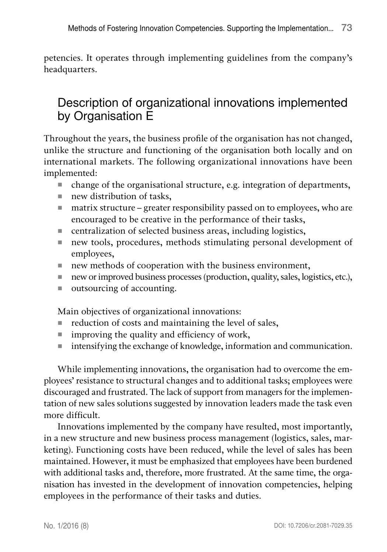petencies. It operates through implementing guidelines from the company's headquarters.

## Description of organizational innovations implemented by Organisation E

Throughout the years, the business profile of the organisation has not changed, unlike the structure and functioning of the organisation both locally and on international markets. The following organizational innovations have been implemented:

- $\blacksquare$  change of the organisational structure, e.g. integration of departments,
- new distribution of tasks,
- matrix structure greater responsibility passed on to employees, who are encouraged to be creative in the performance of their tasks,
- centralization of selected business areas, including logistics,
- new tools, procedures, methods stimulating personal development of employees,
- new methods of cooperation with the business environment,
- new or improved business processes (production, quality, sales, logistics, etc.),
- outsourcing of accounting.

Main objectives of organizational innovations:

- $\blacksquare$  reduction of costs and maintaining the level of sales,
- $\blacksquare$  improving the quality and efficiency of work,
- $\blacksquare$  intensifying the exchange of knowledge, information and communication.

While implementing innovations, the organisation had to overcome the employees' resistance to structural changes and to additional tasks; employees were discouraged and frustrated. The lack of support from managers for the implementation of new sales solutions suggested by innovation leaders made the task even more difficult.

Innovations implemented by the company have resulted, most importantly, in a new structure and new business process management (logistics, sales, marketing). Functioning costs have been reduced, while the level of sales has been maintained. However, it must be emphasized that employees have been burdened with additional tasks and, therefore, more frustrated. At the same time, the organisation has invested in the development of innovation competencies, helping employees in the performance of their tasks and duties.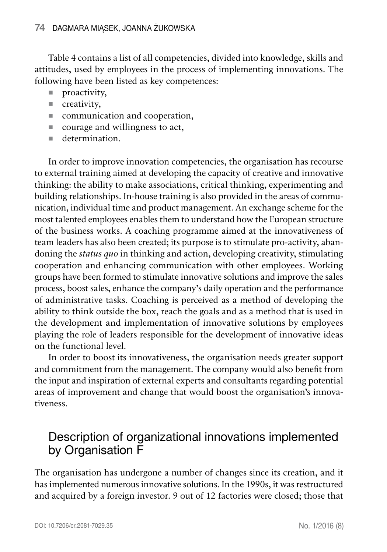Table 4 contains a list of all competencies, divided into knowledge, skills and attitudes, used by employees in the process of implementing innovations. The following have been listed as key competences:

- **proactivity**,
- creativity,
- communication and cooperation,
- courage and willingness to act,
- determination.

In order to improve innovation competencies, the organisation has recourse to external training aimed at developing the capacity of creative and innovative thinking: the ability to make associations, critical thinking, experimenting and building relationships. In-house training is also provided in the areas of communication, individual time and product management. An exchange scheme for the most talented employees enables them to understand how the European structure of the business works. A coaching programme aimed at the innovativeness of team leaders has also been created; its purpose is to stimulate pro-activity, abandoning the *status quo* in thinking and action, developing creativity, stimulating cooperation and enhancing communication with other employees. Working groups have been formed to stimulate innovative solutions and improve the sales process, boost sales, enhance the company's daily operation and the performance of administrative tasks. Coaching is perceived as a method of developing the ability to think outside the box, reach the goals and as a method that is used in the development and implementation of innovative solutions by employees playing the role of leaders responsible for the development of innovative ideas on the functional level.

In order to boost its innovativeness, the organisation needs greater support and commitment from the management. The company would also benefit from the input and inspiration of external experts and consultants regarding potential areas of improvement and change that would boost the organisation's innovativeness.

### Description of organizational innovations implemented by Organisation F

The organisation has undergone a number of changes since its creation, and it has implemented numerous innovative solutions. In the 1990s, it was restructured and acquired by a foreign investor. 9 out of 12 factories were closed; those that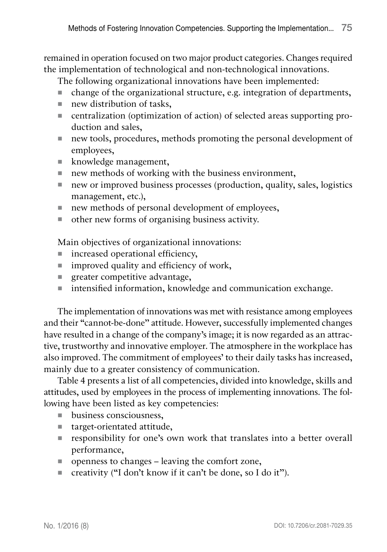remained in operation focused on two major product categories. Changes required the implementation of technological and non-technological innovations.

The following organizational innovations have been implemented:

- change of the organizational structure, e.g. integration of departments,
- new distribution of tasks,
- centralization (optimization of action) of selected areas supporting production and sales,
- new tools, procedures, methods promoting the personal development of employees,
- **knowledge management,**
- new methods of working with the business environment,
- new or improved business processes (production, quality, sales, logistics management, etc.),
- new methods of personal development of employees,
- other new forms of organising business activity.

Main objectives of organizational innovations:

- increased operational efficiency,
- $\blacksquare$  improved quality and efficiency of work,
- **queater competitive advantage,**
- intensified information, knowledge and communication exchange.

The implementation of innovations was met with resistance among employees and their "cannot-be-done" attitude. However, successfully implemented changes have resulted in a change of the company's image; it is now regarded as an attractive, trustworthy and innovative employer. The atmosphere in the workplace has also improved. The commitment of employees' to their daily tasks has increased, mainly due to a greater consistency of communication.

Table 4 presents a list of all competencies, divided into knowledge, skills and attitudes, used by employees in the process of implementing innovations. The following have been listed as key competencies:

- **business consciousness,**
- target-orientated attitude,
- responsibility for one's own work that translates into a better overall performance,
- openness to changes leaving the comfort zone,
- creativity ("I don't know if it can't be done, so I do it").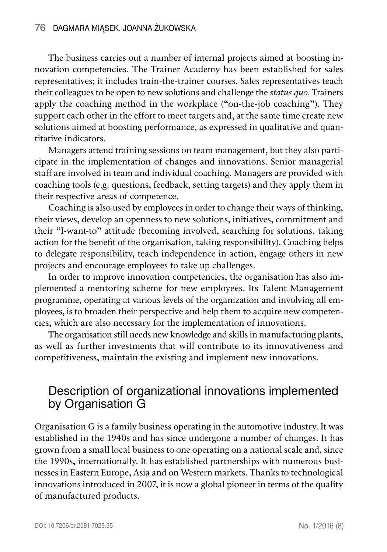The business carries out a number of internal projects aimed at boosting innovation competencies. The Trainer Academy has been established for sales representatives; it includes train-the-trainer courses. Sales representatives teach their colleagues to be open to new solutions and challenge the *status quo*. Trainers apply the coaching method in the workplace ("on-the-job coaching"). They support each other in the effort to meet targets and, at the same time create new solutions aimed at boosting performance, as expressed in qualitative and quantitative indicators.

Managers attend training sessions on team management, but they also participate in the implementation of changes and innovations. Senior managerial staff are involved in team and individual coaching. Managers are provided with coaching tools (e.g. questions, feedback, setting targets) and they apply them in their respective areas of competence.

Coaching is also used by employees in order to change their ways of thinking, their views, develop an openness to new solutions, initiatives, commitment and their "I-want-to" attitude (becoming involved, searching for solutions, taking action for the benefit of the organisation, taking responsibility). Coaching helps to delegate responsibility, teach independence in action, engage others in new projects and encourage employees to take up challenges.

In order to improve innovation competencies, the organisation has also implemented a mentoring scheme for new employees. Its Talent Management programme, operating at various levels of the organization and involving all employees, is to broaden their perspective and help them to acquire new competencies, which are also necessary for the implementation of innovations.

The organisation still needs new knowledge and skills in manufacturing plants, as well as further investments that will contribute to its innovativeness and competitiveness, maintain the existing and implement new innovations.

## Description of organizational innovations implemented by Organisation G

Organisation G is a family business operating in the automotive industry. It was established in the 1940s and has since undergone a number of changes. It has grown from a small local business to one operating on a national scale and, since the 1990s, internationally. It has established partnerships with numerous businesses in Eastern Europe, Asia and on Western markets. Thanks to technological innovations introduced in 2007, it is now a global pioneer in terms of the quality of manufactured products.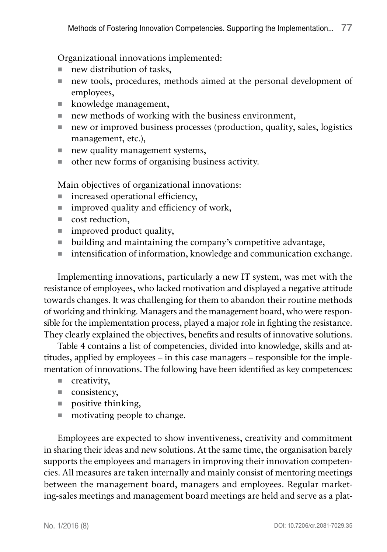Organizational innovations implemented:

- new distribution of tasks,
- new tools, procedures, methods aimed at the personal development of employees,
- **knowledge management,**
- new methods of working with the business environment,
- new or improved business processes (production, quality, sales, logistics management, etc.),
- $\blacksquare$  new quality management systems,
- other new forms of organising business activity.

Main objectives of organizational innovations:

- $\blacksquare$  increased operational efficiency,
- $\blacksquare$  improved quality and efficiency of work,
- cost reduction.
- $\blacksquare$  improved product quality,
- building and maintaining the company's competitive advantage,
- intensification of information, knowledge and communication exchange.

Implementing innovations, particularly a new IT system, was met with the resistance of employees, who lacked motivation and displayed a negative attitude towards changes. It was challenging for them to abandon their routine methods of working and thinking. Managers and the management board, who were responsible for the implementation process, played a major role in fighting the resistance. They clearly explained the objectives, benefits and results of innovative solutions.

Table 4 contains a list of competencies, divided into knowledge, skills and attitudes, applied by employees – in this case managers – responsible for the implementation of innovations. The following have been identified as key competences:

- creativity,
- consistency,
- **positive thinking,**
- motivating people to change.

Employees are expected to show inventiveness, creativity and commitment in sharing their ideas and new solutions. At the same time, the organisation barely supports the employees and managers in improving their innovation competencies. All measures are taken internally and mainly consist of mentoring meetings between the management board, managers and employees. Regular marketing-sales meetings and management board meetings are held and serve as a plat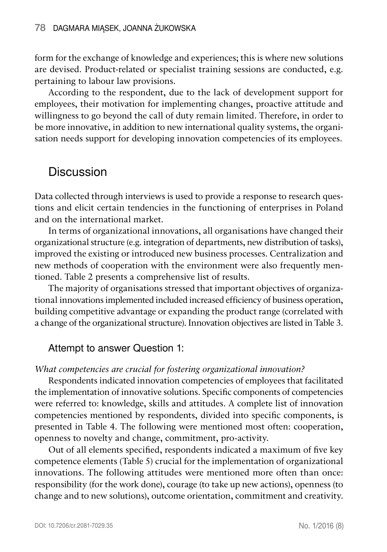form for the exchange of knowledge and experiences; this is where new solutions are devised. Product-related or specialist training sessions are conducted, e.g. pertaining to labour law provisions.

According to the respondent, due to the lack of development support for employees, their motivation for implementing changes, proactive attitude and willingness to go beyond the call of duty remain limited. Therefore, in order to be more innovative, in addition to new international quality systems, the organisation needs support for developing innovation competencies of its employees.

### **Discussion**

Data collected through interviews is used to provide a response to research questions and elicit certain tendencies in the functioning of enterprises in Poland and on the international market.

In terms of organizational innovations, all organisations have changed their organizational structure (e.g. integration of departments, new distribution of tasks), improved the existing or introduced new business processes. Centralization and new methods of cooperation with the environment were also frequently mentioned. Table 2 presents a comprehensive list of results.

The majority of organisations stressed that important objectives of organizational innovations implemented included increased efficiency of business operation, building competitive advantage or expanding the product range (correlated with a change of the organizational structure). Innovation objectives are listed in Table 3.

#### Attempt to answer Question 1:

#### *What competencies are crucial for fostering organizational innovation?*

Respondents indicated innovation competencies of employees that facilitated the implementation of innovative solutions. Specific components of competencies were referred to: knowledge, skills and attitudes. A complete list of innovation competencies mentioned by respondents, divided into specific components, is presented in Table 4. The following were mentioned most often: cooperation, openness to novelty and change, commitment, pro-activity.

Out of all elements specified, respondents indicated a maximum of five key competence elements (Table 5) crucial for the implementation of organizational innovations. The following attitudes were mentioned more often than once: responsibility (for the work done), courage (to take up new actions), openness (to change and to new solutions), outcome orientation, commitment and creativity.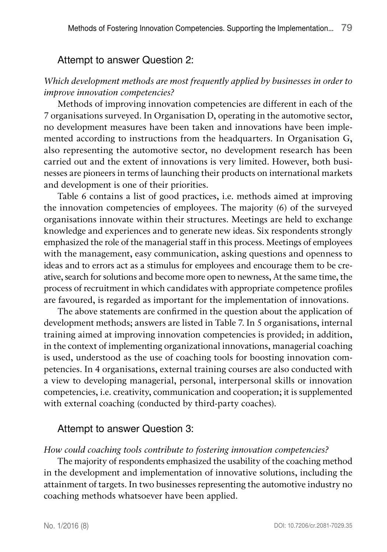#### Attempt to answer Question 2:

#### *Which development methods are most frequently applied by businesses in order to improve innovation competencies?*

Methods of improving innovation competencies are different in each of the 7 organisations surveyed. In Organisation D, operating in the automotive sector, no development measures have been taken and innovations have been implemented according to instructions from the headquarters. In Organisation G, also representing the automotive sector, no development research has been carried out and the extent of innovations is very limited. However, both businesses are pioneers in terms of launching their products on international markets and development is one of their priorities.

Table 6 contains a list of good practices, i.e. methods aimed at improving the innovation competencies of employees. The majority (6) of the surveyed organisations innovate within their structures. Meetings are held to exchange knowledge and experiences and to generate new ideas. Six respondents strongly emphasized the role of the managerial staff in this process. Meetings of employees with the management, easy communication, asking questions and openness to ideas and to errors act as a stimulus for employees and encourage them to be creative, search for solutions and become more open to newness, At the same time, the process of recruitment in which candidates with appropriate competence profiles are favoured, is regarded as important for the implementation of innovations.

The above statements are confirmed in the question about the application of development methods; answers are listed in Table 7. In 5 organisations, internal training aimed at improving innovation competencies is provided; in addition, in the context of implementing organizational innovations, managerial coaching is used, understood as the use of coaching tools for boosting innovation competencies. In 4 organisations, external training courses are also conducted with a view to developing managerial, personal, interpersonal skills or innovation competencies, i.e. creativity, communication and cooperation; it is supplemented with external coaching (conducted by third-party coaches).

#### Attempt to answer Question 3:

#### *How could coaching tools contribute to fostering innovation competencies?*

The majority of respondents emphasized the usability of the coaching method in the development and implementation of innovative solutions, including the attainment of targets. In two businesses representing the automotive industry no coaching methods whatsoever have been applied.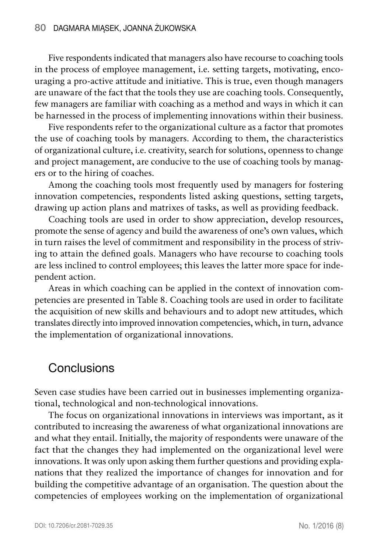Five respondents indicated that managers also have recourse to coaching tools in the process of employee management, i.e. setting targets, motivating, encouraging a pro-active attitude and initiative. This is true, even though managers are unaware of the fact that the tools they use are coaching tools. Consequently, few managers are familiar with coaching as a method and ways in which it can be harnessed in the process of implementing innovations within their business.

Five respondents refer to the organizational culture as a factor that promotes the use of coaching tools by managers. According to them, the characteristics of organizational culture, i.e. creativity, search for solutions, openness to change and project management, are conducive to the use of coaching tools by managers or to the hiring of coaches.

Among the coaching tools most frequently used by managers for fostering innovation competencies, respondents listed asking questions, setting targets, drawing up action plans and matrixes of tasks, as well as providing feedback.

Coaching tools are used in order to show appreciation, develop resources, promote the sense of agency and build the awareness of one's own values, which in turn raises the level of commitment and responsibility in the process of striving to attain the defined goals. Managers who have recourse to coaching tools are less inclined to control employees; this leaves the latter more space for independent action.

Areas in which coaching can be applied in the context of innovation competencies are presented in Table 8. Coaching tools are used in order to facilitate the acquisition of new skills and behaviours and to adopt new attitudes, which translates directly into improved innovation competencies, which, in turn, advance the implementation of organizational innovations.

### **Conclusions**

Seven case studies have been carried out in businesses implementing organizational, technological and non-technological innovations.

The focus on organizational innovations in interviews was important, as it contributed to increasing the awareness of what organizational innovations are and what they entail. Initially, the majority of respondents were unaware of the fact that the changes they had implemented on the organizational level were innovations. It was only upon asking them further questions and providing explanations that they realized the importance of changes for innovation and for building the competitive advantage of an organisation. The question about the competencies of employees working on the implementation of organizational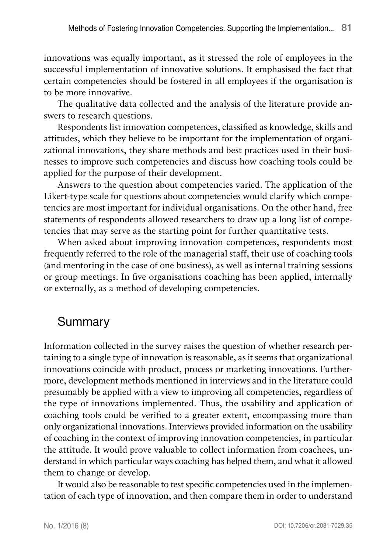innovations was equally important, as it stressed the role of employees in the successful implementation of innovative solutions. It emphasised the fact that certain competencies should be fostered in all employees if the organisation is to be more innovative.

The qualitative data collected and the analysis of the literature provide answers to research questions.

Respondents list innovation competences, classified as knowledge, skills and attitudes, which they believe to be important for the implementation of organizational innovations, they share methods and best practices used in their businesses to improve such competencies and discuss how coaching tools could be applied for the purpose of their development.

Answers to the question about competencies varied. The application of the Likert-type scale for questions about competencies would clarify which competencies are most important for individual organisations. On the other hand, free statements of respondents allowed researchers to draw up a long list of competencies that may serve as the starting point for further quantitative tests.

When asked about improving innovation competences, respondents most frequently referred to the role of the managerial staff, their use of coaching tools (and mentoring in the case of one business), as well as internal training sessions or group meetings. In five organisations coaching has been applied, internally or externally, as a method of developing competencies.

## Summary

Information collected in the survey raises the question of whether research pertaining to a single type of innovation is reasonable, as it seems that organizational innovations coincide with product, process or marketing innovations. Furthermore, development methods mentioned in interviews and in the literature could presumably be applied with a view to improving all competencies, regardless of the type of innovations implemented. Thus, the usability and application of coaching tools could be verified to a greater extent, encompassing more than only organizational innovations. Interviews provided information on the usability of coaching in the context of improving innovation competencies, in particular the attitude. It would prove valuable to collect information from coachees, understand in which particular ways coaching has helped them, and what it allowed them to change or develop.

It would also be reasonable to test specific competencies used in the implementation of each type of innovation, and then compare them in order to understand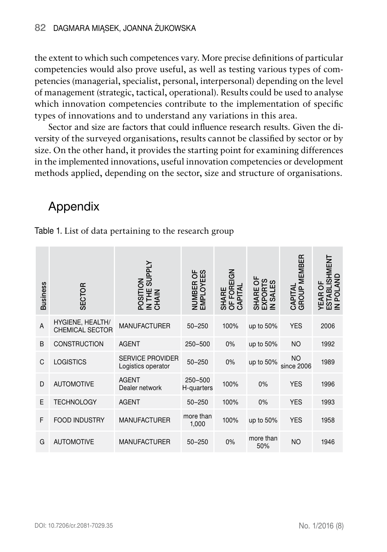the extent to which such competences vary. More precise definitions of particular competencies would also prove useful, as well as testing various types of competencies (managerial, specialist, personal, interpersonal) depending on the level of management (strategic, tactical, operational). Results could be used to analyse which innovation competencies contribute to the implementation of specific types of innovations and to understand any variations in this area.

Sector and size are factors that could influence research results. Given the diversity of the surveyed organisations, results cannot be classified by sector or by size. On the other hand, it provides the starting point for examining differences in the implemented innovations, useful innovation competencies or development methods applied, depending on the sector, size and structure of organisations.

# Appendix

| <b>Business</b> | SECTOR                                            | <b>SUPPLY</b><br>POSITION<br>IN THE<br>CHAIN  | NUMBER OF<br>EMPLOYEES    | EIGN<br>FOR<br><b>Alld</b><br><b>SHARE</b><br>$\overline{5}$<br>⋖<br>Ö | ၯ<br>റ<br>က္က<br><b>SHARE</b><br>EXPORT<br>IN SALE | CAPITAL<br>GROUP MEMBER | <b>ISHMENT</b><br>SNA<br><b>YEAR OF</b><br>ᅙ<br>POL<br><b>DO<br/>N N DO</b> |
|-----------------|---------------------------------------------------|-----------------------------------------------|---------------------------|------------------------------------------------------------------------|----------------------------------------------------|-------------------------|-----------------------------------------------------------------------------|
| A               | <b>HYGIENE, HEALTH/</b><br><b>CHEMICAL SECTOR</b> | <b>MANUFACTURER</b>                           | $50 - 250$                | 100%                                                                   | up to $50\%$                                       | <b>YES</b>              | 2006                                                                        |
| B               | <b>CONSTRUCTION</b>                               | <b>AGENT</b>                                  | 250-500                   | 0%                                                                     | up to 50%                                          | <b>NO</b>               | 1992                                                                        |
| C               | <b>LOGISTICS</b>                                  | <b>SERVICE PROVIDER</b><br>Logistics operator | $50 - 250$                | 0%                                                                     | up to 50%                                          | NO.<br>since 2006       | 1989                                                                        |
| D               | <b>AUTOMOTIVE</b>                                 | <b>AGENT</b><br>Dealer network                | $250 - 500$<br>H-quarters | 100%                                                                   | 0%                                                 | <b>YES</b>              | 1996                                                                        |
| E               | <b>TECHNOLOGY</b>                                 | <b>AGENT</b>                                  | $50 - 250$                | 100%                                                                   | 0%                                                 | <b>YES</b>              | 1993                                                                        |
| F               | <b>FOOD INDUSTRY</b>                              | <b>MANUFACTURER</b>                           | more than<br>1,000        | 100%                                                                   | up to 50%                                          | <b>YES</b>              | 1958                                                                        |
| G               | <b>AUTOMOTIVE</b>                                 | <b>MANUFACTURER</b>                           | $50 - 250$                | 0%                                                                     | more than<br>50%                                   | <b>NO</b>               | 1946                                                                        |

Table 1. List of data pertaining to the research group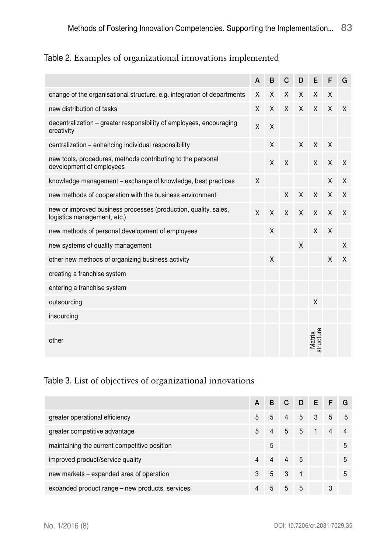#### Table 2. Examples of organizational innovations implemented

|                                                                                                | A | B | C | D | E                   | F | G |
|------------------------------------------------------------------------------------------------|---|---|---|---|---------------------|---|---|
| change of the organisational structure, e.g. integration of departments                        | X | X | X | X | X                   | X |   |
| new distribution of tasks                                                                      | X | X | X | X | X                   | X | X |
| decentralization - greater responsibility of employees, encouraging<br>creativity              | X | X |   |   |                     |   |   |
| centralization - enhancing individual responsibility                                           |   | X |   | X | X                   | X |   |
| new tools, procedures, methods contributing to the personal<br>development of employees        |   | X | X |   | X                   | X | X |
| knowledge management – exchange of knowledge, best practices                                   | X |   |   |   |                     | X | X |
| new methods of cooperation with the business environment                                       |   |   | X | X | X                   | X | X |
| new or improved business processes (production, quality, sales,<br>logistics management, etc.) |   | X | X | X | X                   | X | X |
| new methods of personal development of employees                                               |   | X |   |   | X                   | X |   |
| new systems of quality management                                                              |   |   |   | X |                     |   | X |
| other new methods of organizing business activity                                              |   | X |   |   |                     | X | X |
| creating a franchise system                                                                    |   |   |   |   |                     |   |   |
| entering a franchise system                                                                    |   |   |   |   |                     |   |   |
| outsourcing                                                                                    |   |   |   |   | X                   |   |   |
| insourcing                                                                                     |   |   |   |   |                     |   |   |
| other                                                                                          |   |   |   |   | Matrix<br>structure |   |   |

#### Table 3. List of objectives of organizational innovations

|                                                 | A | <sub>B</sub> |                | IC DE FG |                |                |   |
|-------------------------------------------------|---|--------------|----------------|----------|----------------|----------------|---|
| greater operational efficiency                  | 5 | 5            | $\overline{4}$ | 5        | $-3$           | 5              | 5 |
| greater competitive advantage                   | 5 |              | 5 5            |          | $\blacksquare$ | $\overline{4}$ |   |
| maintaining the current competitive position    |   | 5            |                |          |                |                | 5 |
| improved product/service quality                |   |              | 4              | .5       |                |                | 5 |
| new markets - expanded area of operation        | 3 | 5            | $3 \quad 1$    |          |                |                | 5 |
| expanded product range – new products, services |   | 5            | 5              | .5       |                | 3              |   |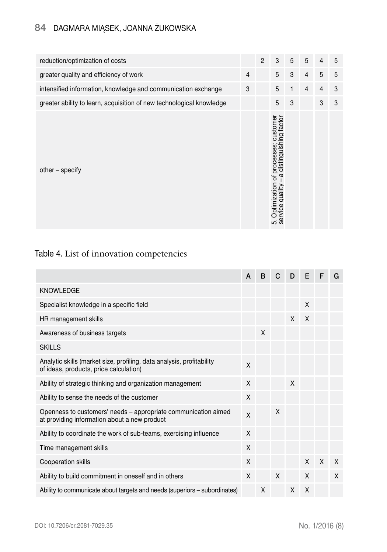#### 84 Dagmara Miąsek, Joanna Żukowska

| reduction/optimization of costs                                      |                | $\overline{2}$ | 3                                                                                                       | 5 | 5              | $\overline{4}$ | 5 |
|----------------------------------------------------------------------|----------------|----------------|---------------------------------------------------------------------------------------------------------|---|----------------|----------------|---|
| greater quality and efficiency of work                               | $\overline{4}$ |                | 5                                                                                                       | 3 | $\overline{4}$ | 5              | 5 |
| intensified information, knowledge and communication exchange        | 3              |                | 5                                                                                                       | 1 | $\overline{4}$ | $\overline{4}$ | 3 |
| greater ability to learn, acquisition of new technological knowledge |                |                | 5                                                                                                       | 3 |                | 3              | 3 |
| other - specify                                                      |                |                | processes; customer<br>distinguishing factor<br>഻൯<br>Optimization of<br>quality<br>5. Optim<br>service |   |                |                |   |

#### Table 4. List of innovation competencies

|                                                                                                                 | A | в | C | D | Е | F | G |
|-----------------------------------------------------------------------------------------------------------------|---|---|---|---|---|---|---|
| <b>KNOWLEDGE</b>                                                                                                |   |   |   |   |   |   |   |
| Specialist knowledge in a specific field                                                                        |   |   |   |   | X |   |   |
| HR management skills                                                                                            |   |   |   | X | X |   |   |
| Awareness of business targets                                                                                   |   | X |   |   |   |   |   |
| <b>SKILLS</b>                                                                                                   |   |   |   |   |   |   |   |
| Analytic skills (market size, profiling, data analysis, profitability<br>of ideas, products, price calculation) | X |   |   |   |   |   |   |
| Ability of strategic thinking and organization management                                                       |   |   |   | X |   |   |   |
| Ability to sense the needs of the customer                                                                      |   |   |   |   |   |   |   |
| Openness to customers' needs – appropriate communication aimed<br>at providing information about a new product  |   |   | X |   |   |   |   |
| Ability to coordinate the work of sub-teams, exercising influence                                               | X |   |   |   |   |   |   |
| Time management skills                                                                                          |   |   |   |   |   |   |   |
| Cooperation skills                                                                                              | X |   |   |   | X | X | X |
| Ability to build commitment in oneself and in others                                                            |   |   | X |   | X |   | X |
| Ability to communicate about targets and needs (superiors - subordinates)                                       |   | X |   | X | X |   |   |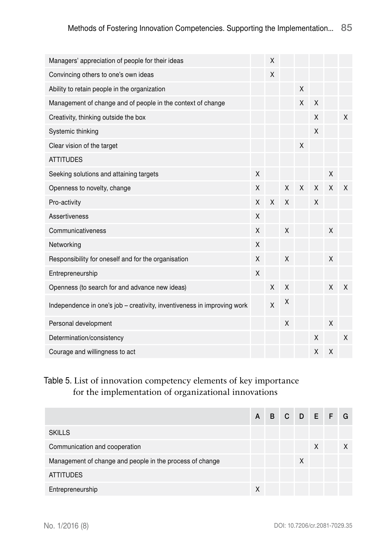| Managers' appreciation of people for their ideas                        |   | X            |   |   |   |   |              |
|-------------------------------------------------------------------------|---|--------------|---|---|---|---|--------------|
| Convincing others to one's own ideas                                    |   | X            |   |   |   |   |              |
| Ability to retain people in the organization                            |   |              |   | X |   |   |              |
| Management of change and of people in the context of change             |   |              |   | X | X |   |              |
| Creativity, thinking outside the box                                    |   |              |   |   | X |   | X            |
| Systemic thinking                                                       |   |              |   |   | X |   |              |
| Clear vision of the target                                              |   |              |   | X |   |   |              |
| <b>ATTITUDES</b>                                                        |   |              |   |   |   |   |              |
| Seeking solutions and attaining targets                                 | X |              |   |   |   | X |              |
| Openness to novelty, change                                             | X |              | X | X | X | X | $\mathsf{X}$ |
| Pro-activity                                                            | X | X            | X |   | X |   |              |
| Assertiveness                                                           | X |              |   |   |   |   |              |
| Communicativeness                                                       | X |              | X |   |   | X |              |
| Networking                                                              | X |              |   |   |   |   |              |
| Responsibility for oneself and for the organisation                     | X |              | X |   |   | X |              |
| Entrepreneurship                                                        | X |              |   |   |   |   |              |
| Openness (to search for and advance new ideas)                          |   | X            | X |   |   | X | X            |
| Independence in one's job - creativity, inventiveness in improving work |   | $\mathsf{x}$ | X |   |   |   |              |
| Personal development                                                    |   |              | X |   |   | X |              |
| Determination/consistency                                               |   |              |   |   | X |   | X            |
| Courage and willingness to act                                          |   |              |   |   | X | X |              |

#### Table 5. List of innovation competency elements of key importance for the implementation of organizational innovations

|                                                          |  |  |   |   | A B C D E F G |  |
|----------------------------------------------------------|--|--|---|---|---------------|--|
| <b>SKILLS</b>                                            |  |  |   |   |               |  |
| Communication and cooperation                            |  |  |   | X |               |  |
| Management of change and people in the process of change |  |  | X |   |               |  |
| <b>ATTITUDES</b>                                         |  |  |   |   |               |  |
| Entrepreneurship                                         |  |  |   |   |               |  |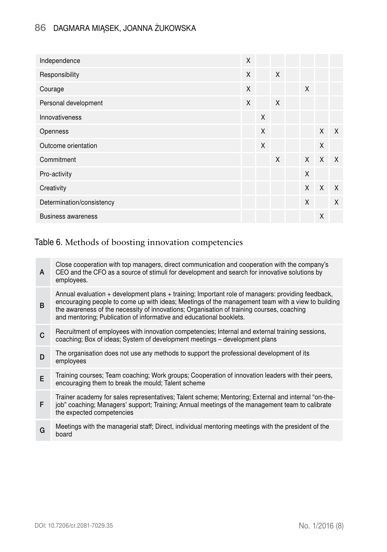#### 86 Dagmara Miąsek, Joanna Żukowska

| Independence              | $\mathsf{X}$ |   |              |              |         |              |
|---------------------------|--------------|---|--------------|--------------|---------|--------------|
| Responsibility            | $\mathsf{X}$ |   | $\mathsf{X}$ |              |         |              |
| Courage                   | $\mathsf{X}$ |   |              | $\mathsf{X}$ |         |              |
| Personal development      | X            |   | $\times$     |              |         |              |
| Innovativeness            |              | X |              |              |         |              |
| Openness                  |              | X |              |              | $X$ $X$ |              |
| Outcome orientation       |              | X |              |              | X       |              |
| Commitment                |              |   | X            | $\times$     | $\chi$  | $\mathsf{X}$ |
| Pro-activity              |              |   |              | X            |         |              |
| Creativity                |              |   |              | $\times$     | $\sf X$ | $\times$     |
| Determination/consistency |              |   |              | X            |         | $\mathsf{X}$ |
| <b>Business awareness</b> |              |   |              |              | X       |              |

#### Table 6. Methods of boosting innovation competencies

| A | Close cooperation with top managers, direct communication and cooperation with the company's<br>CEO and the CFO as a source of stimuli for development and search for innovative solutions by<br>employees.                                                                                                                                                                |
|---|----------------------------------------------------------------------------------------------------------------------------------------------------------------------------------------------------------------------------------------------------------------------------------------------------------------------------------------------------------------------------|
| B | Annual evaluation + development plans + training; Important role of managers: providing feedback,<br>encouraging people to come up with ideas; Meetings of the management team with a view to building<br>the awareness of the necessity of innovations; Organisation of training courses, coaching<br>and mentoring; Publication of informative and educational booklets. |
| C | Recruitment of employees with innovation competencies; Internal and external training sessions,<br>coaching; Box of ideas; System of development meetings – development plans                                                                                                                                                                                              |
| D | The organisation does not use any methods to support the professional development of its<br>employees                                                                                                                                                                                                                                                                      |
| E | Training courses; Team coaching; Work groups; Cooperation of innovation leaders with their peers,<br>encouraging them to break the mould; Talent scheme                                                                                                                                                                                                                    |
| F | Trainer academy for sales representatives; Talent scheme; Mentoring; External and internal "on-the-<br>job" coaching; Managers' support; Training; Annual meetings of the management team to calibrate<br>the expected competencies                                                                                                                                        |
| G | Meetings with the managerial staff; Direct, individual mentoring meetings with the president of the<br>board                                                                                                                                                                                                                                                               |